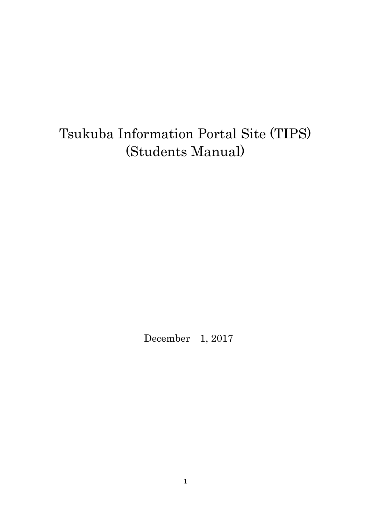# Tsukuba Information Portal Site (TIPS) (Students Manual)

December 1, 2017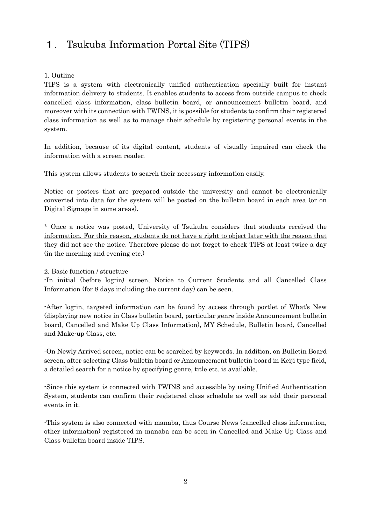### 1. Tsukuba Information Portal Site (TIPS)

#### 1. Outline

TIPS is a system with electronically unified authentication specially built for instant information delivery to students. It enables students to access from outside campus to check cancelled class information, class bulletin board, or announcement bulletin board, and moreover with its connection with TWINS, it is possible for students to confirm their registered class information as well as to manage their schedule by registering personal events in the system.

In addition, because of its digital content, students of visually impaired can check the information with a screen reader.

This system allows students to search their necessary information easily.

Notice or posters that are prepared outside the university and cannot be electronically converted into data for the system will be posted on the bulletin board in each area (or on Digital Signage in some areas).

\* Once a notice was posted, University of Tsukuba considers that students received the information. For this reason, students do not have a right to object later with the reason that they did not see the notice. Therefore please do not forget to check TIPS at least twice a day (in the morning and evening etc.)

#### 2. Basic function / structure

-In initial (before log-in) screen, Notice to Current Students and all Cancelled Class Information (for 8 days including the current day) can be seen.

-After log-in, targeted information can be found by access through portlet of What's New (displaying new notice in Class bulletin board, particular genre inside Announcement bulletin board, Cancelled and Make Up Class Information), MY Schedule, Bulletin board, Cancelled and Make-up Class, etc.

-On Newly Arrived screen, notice can be searched by keywords. In addition, on Bulletin Board screen, after selecting Class bulletin board or Announcement bulletin board in Keiji type field, a detailed search for a notice by specifying genre, title etc. is available.

-Since this system is connected with TWINS and accessible by using Unified Authentication System, students can confirm their registered class schedule as well as add their personal events in it.

-This system is also connected with manaba, thus Course News (cancelled class information, other information) registered in manaba can be seen in Cancelled and Make Up Class and Class bulletin board inside TIPS.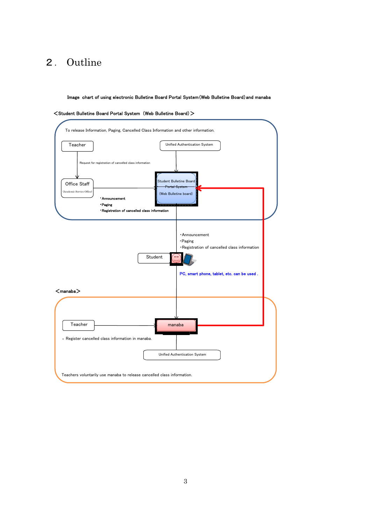### 2. Outline

Image chart of using electronic Bulletine Board Portal System(Web Bulletine Board)and manaba



#### <Student Bulletine Board Portal System (Web Bulletine Board)>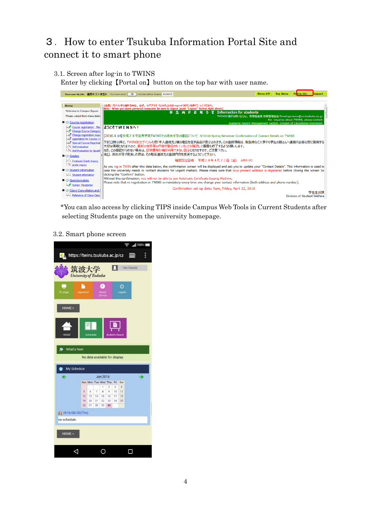## 3.How to enter Tsukuba Information Portal Site and connect it to smart phone

3.1. Screen after log-in to TWINS Enter by clicking【Portal on】button on the top bar with user name.



\*You can also access by clicking TIPS inside Campus Web Tools in Current Students after selecting Students page on the university homepage.

#### 3.2. Smart phone screen

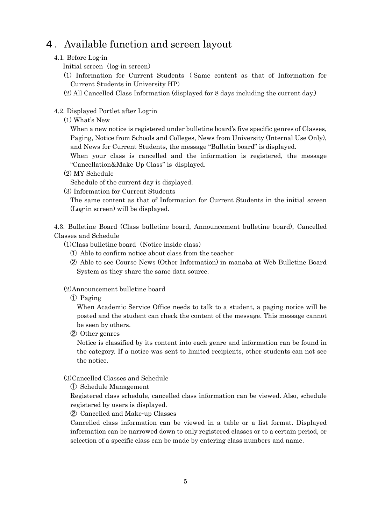### 4.Available function and screen layout

#### 4.1. Before Log-in

- Initial screen (log-in screen)
- (1) Information for Current Students ( Same content as that of Information for Current Students in University HP)
- (2) All Cancelled Class Information (displayed for 8 days including the current day.)

#### 4.2. Displayed Portlet after Log-in

(1) What's New

When a new notice is registered under bulletine board's five specific genres of Classes. Paging, Notice from Schools and Colleges, News from University (Internal Use Only), and News for Current Students, the message "Bulletin board" is displayed.

 When your class is cancelled and the information is registered, the message "Cancellation&Make Up Class" is displayed.

(2) MY Schedule

Schedule of the current day is displayed.

(3) Information for Current Students

The same content as that of Information for Current Students in the initial screen (Log-in screen) will be displayed.

4.3. Bulletine Board (Class bulletine board, Announcement bulletine board), Cancelled Classes and Schedule

 $(1)$ Class bulletine board (Notice inside class)

- ① Able to confirm notice about class from the teacher
- ② Able to see Course News (Other Information) in manaba at Web Bulletine Board System as they share the same data source.

#### (2)Announcement bulletine board

① Paging

When Academic Service Office needs to talk to a student, a paging notice will be posted and the student can check the content of the message. This message cannot be seen by others.

② Other genres

 Notice is classified by its content into each genre and information can be found in the category. If a notice was sent to limited recipients, other students can not see the notice.

#### (3)Cancelled Classes and Schedule

① Schedule Management

Registered class schedule, cancelled class information can be viewed. Also, schedule registered by users is displayed.

② Cancelled and Make-up Classes

Cancelled class information can be viewed in a table or a list format. Displayed information can be narrowed down to only registered classes or to a certain period, or selection of a specific class can be made by entering class numbers and name.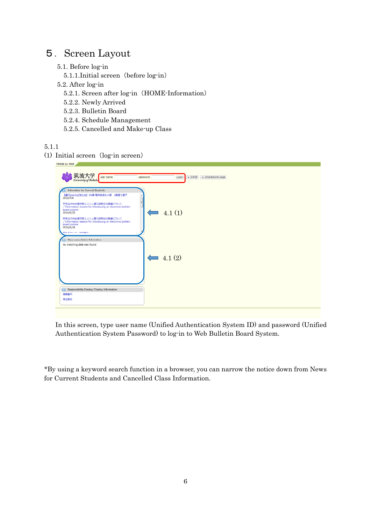### 5.Screen Layout

- 5.1. Before log-in
	- 5.1.1.Initial screen (before log-in)
- 5.2. After log-in
	- 5.2.1. Screen after log-in (HOME-Information)
	- 5.2.2. Newly Arrived
	- 5.2.3. Bulletin Board
	- 5.2.4. Schedule Management
	- 5.2.5. Cancelled and Make-up Class

### 5.1.1

 $(1)$  Initial screen (log-in screen)



In this screen, type user name (Unified Authentication System ID) and password (Unified Authentication System Password) to log-in to Web Bulletin Board System.

\*By using a keyword search function in a browser, you can narrow the notice down from News for Current Students and Cancelled Class Information.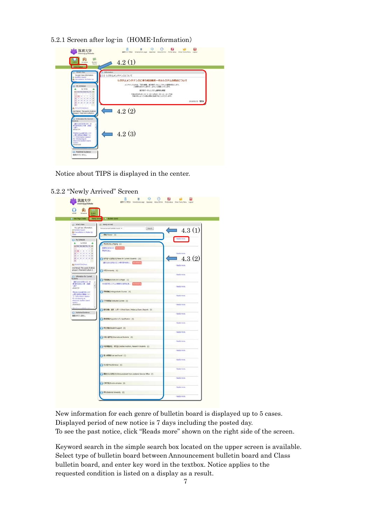5.2.1 Screen after log-in (HOME-Information)



Notice about TIPS is displayed in the center.

| 角<br>HONE<br>Schedule                                                                           |                   |
|-------------------------------------------------------------------------------------------------|-------------------|
| <b>B.</b> Bulletin board<br>Veb Page Create<br><b>Newly Arrived</b>                             |                   |
| <b>All What's New</b><br>Newly Arrived                                                          |                   |
| You got new information.<br>Search.<br>Annauncement builetin board<br><b>III</b> Bulletin board | 4.3(1)            |
| <b>S)</b> Cancellation & Make Up<br>Clera<br>· 推复/Clesses (2)                                   |                   |
| () My Schedule                                                                                  | - Ragda inora.    |
| 3,4 2016<br>٠<br>学生呼び出し(Paging (3)                                                              |                   |
| but Hot fue Wed Thy Pt Set<br>SONDERGO GRAZI                                                    |                   |
| $2 - 4 - 1 - 4 - 7 - 4 - 4$<br><b>VANCHL</b><br><b>WHODDRES</b>                                 | · Randa more.     |
| 17.18.18.20.21.22.23                                                                            |                   |
| 24 25 28 27 28 29 20<br>→ 在学生へのお知らせ/News for Current Students. (10)<br>m.                       | 4.3(2)            |
| @ 2016/07/04(Mon)                                                                               | -Reads more.      |
| 2nd Period: The world of ethnic<br>groups 1: Food and Culture 1<br>大学/University (1)            |                   |
| () Information for Current                                                                      | <b>Reads more</b> |
| Students:<br>( ) 所需磁域/Schools and Colleges (1)                                                  |                   |
| 【通行はののお知らせ】2A<br>株-理科系療士A棟 2版置<br>Web都市板システムの地面向け説明会[集  「STERIONS<br>۱                          |                   |
| り割下<br>2016/7/4                                                                                 | - Reads more.     |
| → 平数图集/Undergraduate Courses (4)<br>学生向けWeb最下版システ<br>ム軍入地場会の開催につい                               |                   |
| <b>C/3rformation session</b><br>for introducing an                                              | flasds more.      |
| electronic bulletin board.<br>大学政府属/Graduate Courses (0)<br><b>System</b>                       |                   |
| 3006/6/23                                                                                       | Reads more.       |
| BRIDGE, IBM, Little N/Final Evant,/ Make-up Evant,/Reports. (0)<br><b>D</b> Published Guidance  | <b>Reads more</b> |
| 登録されていません                                                                                       |                   |
| AND Acquation of a Qualification (1)                                                            | - Rands more.     |
|                                                                                                 |                   |
| 学生交通/Student Support (0)                                                                        | <b>Reads more</b> |
|                                                                                                 |                   |
| → 外国入部学生/International Students (0)                                                             | -Reads more.      |
| HBWBB主, 研究生/Credited Auditors, Research Students (0)                                            |                   |
|                                                                                                 | <b>Basti more</b> |
| () EU密集紙 Lost and found (1)                                                                     |                   |
|                                                                                                 | <b>Bash more</b>  |
| 3 EOG/Hispitanesus (0)                                                                          |                   |
|                                                                                                 | Reads more.       |
| <b>BR</b> IN-6/DER0-51/Announcement from Academic Service Office (2)                            |                   |
|                                                                                                 | <b>Reads more</b> |
| 9 行事予定/Everts schedule (0)                                                                      |                   |
|                                                                                                 | <b>Reads more</b> |
| FR/External University (0)                                                                      |                   |

5.2.2 "Newly Arrived" Screen

New information for each genre of bulletin board is displayed up to 5 cases. Displayed period of new notice is 7 days including the posted day. To see the past notice, click "Reads more" shown on the right side of the screen.

Keyword search in the simple search box located on the upper screen is available. Select type of bulletin board between Announcement bulletin board and Class bulletin board, and enter key word in the textbox. Notice applies to the requested condition is listed on a display as a result.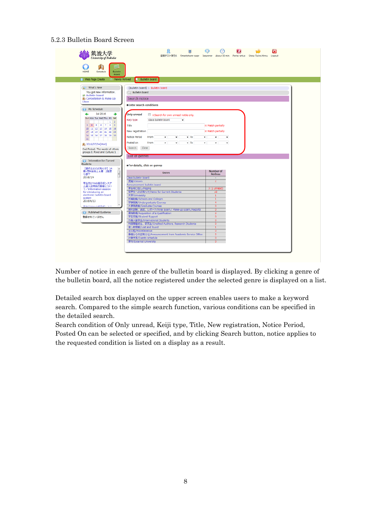#### 5.2.3 Bulletin Board Screen

| University of Tsukuba                                    | 遠携テスト学生6 Smartphone page Japanese About 30 min Portal setup Show Twins Menu Logout |                                |  |
|----------------------------------------------------------|------------------------------------------------------------------------------------|--------------------------------|--|
| 的<br><b>Bulletin</b><br><b>HOME</b><br>Schedule<br>Board |                                                                                    |                                |  |
| Web Page Create<br>Newly Arrived                         | <b>Bulletin board</b>                                                              |                                |  |
| <b>A<sup>2</sup></b> What's New                          | [Bulletin board] > Bulletin board                                                  |                                |  |
| You got new information.                                 | C. Bulletin board                                                                  |                                |  |
| <b>Bulletin board</b>                                    |                                                                                    |                                |  |
| <b>13</b> Cancellation 8. Make Up<br>Class               | Search notice                                                                      |                                |  |
|                                                          | <b>CEnter search conditions</b>                                                    |                                |  |
| (a) My Schedule                                          |                                                                                    |                                |  |
| <b>Jul 2016</b><br>÷                                     | <b>Only unread</b>                                                                 |                                |  |
| Sun Mon Tue Wed Thu Fri Sat                              | Search for own unread notile only.                                                 |                                |  |
| $1 \quad 2$                                              | Keiji type<br>class bulletin board<br>٠                                            |                                |  |
| 3 4 5 6 7 8 9                                            | Title                                                                              | <b>38 Match partially</b>      |  |
| 10 11 12 13 14 15 16                                     | New registration                                                                   | <b>ISS Match partially</b>     |  |
| 17 18 19 20 21 22 23<br>24 25 26 27 28 29 30             |                                                                                    |                                |  |
| 31                                                       | Notice Period<br>From<br>$+$ To<br>۰<br>۰.                                         | ۰.<br>٠.<br>٠                  |  |
|                                                          | Posted on<br>$-$ To<br>From<br>۳I<br>۰.<br>÷.                                      | ٠.<br>٠                        |  |
|                                                          |                                                                                    |                                |  |
| 2016/07/04(Mon)                                          |                                                                                    |                                |  |
| 2nd Period: The world of ethnic                          | Search<br>Clear                                                                    |                                |  |
| groups I: Food and Culture 1                             |                                                                                    |                                |  |
|                                                          | List of genres                                                                     |                                |  |
| ( ) Information for Current<br><b>Students</b>           |                                                                                    |                                |  |
| 【通行止めのお知らせ】3A<br>$\overline{\phantom{a}}$                | · For details, click on genres                                                     |                                |  |
| 棲-理科系修士A棟 2階湾                                            | Genre                                                                              | Number of                      |  |
| $\overline{\phantom{a}}$<br>り磨下<br>2016/7/4              |                                                                                    | <b>Notices</b><br>$\sim$       |  |
|                                                          | Class bulletin board<br>授業/Classes                                                 | $\overline{2}$                 |  |
| 学生向けWeb掲示板システ                                            | Announcement bulletin board                                                        |                                |  |
| ム導入説明会の関催につい<br><b>T/Information session</b>             | 学生呼び出し/Paging                                                                      | 3 (1 unread)                   |  |
| for introducing an                                       | 在学生へのお知らせ/News for Current Students                                                | 10                             |  |
| electronic bulletin board<br>system                      | 大学/University                                                                      | $\mathbf{1}$                   |  |
| 2016/6/23                                                | 所開組織/Schools and Colleges                                                          | $\mathbf{1}$<br>$\overline{4}$ |  |
| Mobile Professional Law 2020 St. The Corp.               | 学群授業/Undergraduate Courses<br>大学院授業/Graduate Courses                               | $\bullet$                      |  |
|                                                          | 期末試験、追試、レポート/Final Exam./ Make-up Exam./Reports                                    | $\overline{0}$                 |  |
| Published Guidance                                       | 資格取得/Acquisition of a Qualification                                                | $\circ$                        |  |
| 登録されていません                                                | 学生支援/Student Support                                                               | $\mathbf{0}$                   |  |
|                                                          | 外国人留学生/International Students                                                      | $\circ$                        |  |
|                                                          | 科目等履修生、研究生/Credited Auditors, Research Students                                    | $\overline{0}$<br>1            |  |
|                                                          | 落し物情報/Lost and found<br>その他/Miscellaneous                                          | $\mathbf{0}$                   |  |
|                                                          | 事務からのお知らせ/Announcement from Academic Service Office                                | $\overline{2}$                 |  |
|                                                          | 行事予定/Events schedule<br>学外/External University                                     | $\overline{0}$                 |  |

Number of notice in each genre of the bulletin board is displayed. By clicking a genre of the bulletin board, all the notice registered under the selected genre is displayed on a list.

Detailed search box displayed on the upper screen enables users to make a keyword search. Compared to the simple search function, various conditions can be specified in the detailed search.

Search condition of Only unread, Keiji type, Title, New registration, Notice Period, Posted On can be selected or specified, and by clicking Search button, notice applies to the requested condition is listed on a display as a result.